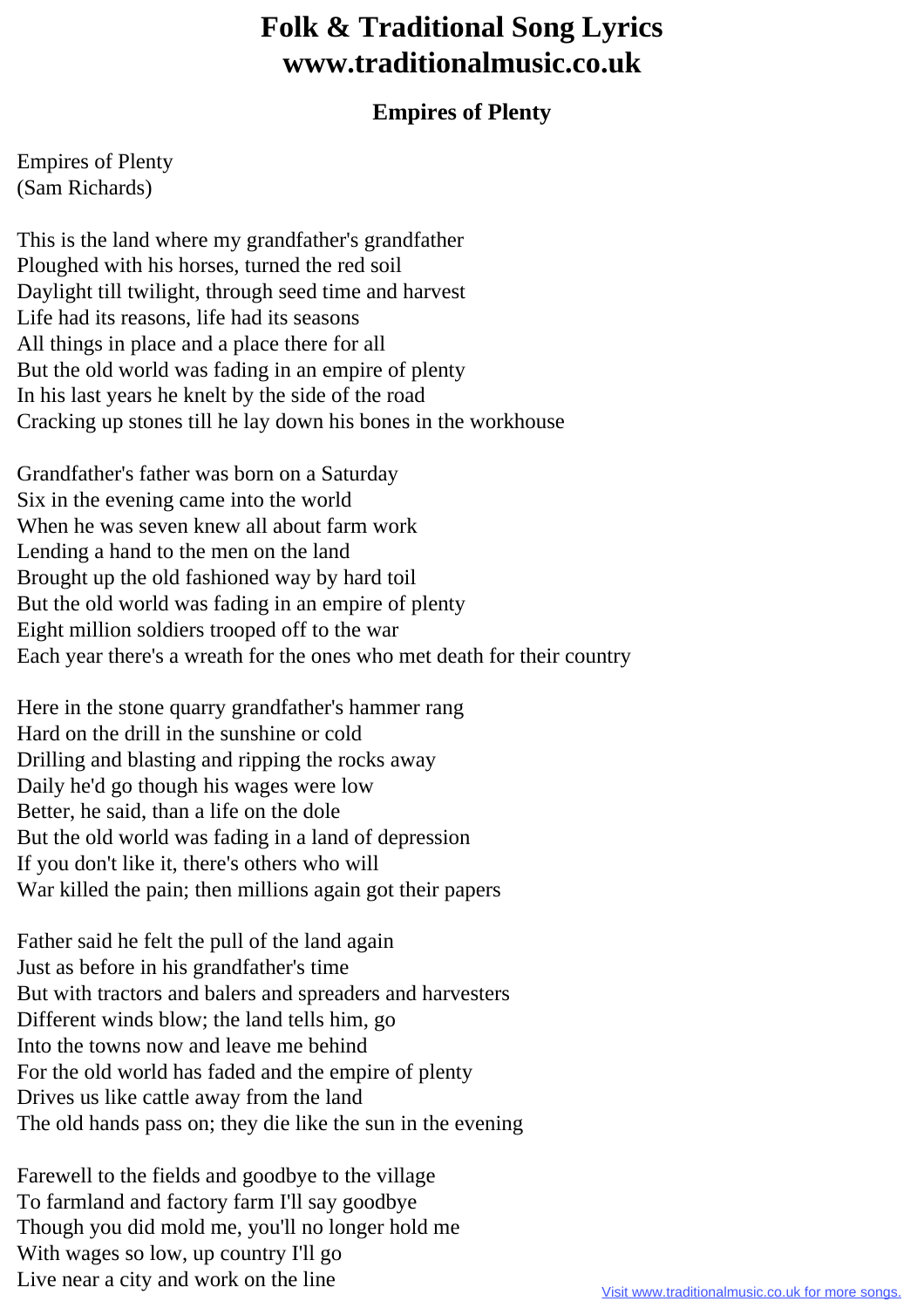## **Folk & Traditional Song Lyrics www.traditionalmusic.co.uk**

## **Empires of Plenty**

Empires of Plenty (Sam Richards)

This is the land where my grandfather's grandfather Ploughed with his horses, turned the red soil Daylight till twilight, through seed time and harvest Life had its reasons, life had its seasons All things in place and a place there for all But the old world was fading in an empire of plenty In his last years he knelt by the side of the road Cracking up stones till he lay down his bones in the workhouse

Grandfather's father was born on a Saturday Six in the evening came into the world When he was seven knew all about farm work Lending a hand to the men on the land Brought up the old fashioned way by hard toil But the old world was fading in an empire of plenty Eight million soldiers trooped off to the war Each year there's a wreath for the ones who met death for their country

Here in the stone quarry grandfather's hammer rang Hard on the drill in the sunshine or cold Drilling and blasting and ripping the rocks away Daily he'd go though his wages were low Better, he said, than a life on the dole But the old world was fading in a land of depression If you don't like it, there's others who will War killed the pain; then millions again got their papers

Father said he felt the pull of the land again Just as before in his grandfather's time But with tractors and balers and spreaders and harvesters Different winds blow; the land tells him, go Into the towns now and leave me behind For the old world has faded and the empire of plenty Drives us like cattle away from the land The old hands pass on; they die like the sun in the evening

Farewell to the fields and goodbye to the village To farmland and factory farm I'll say goodbye Though you did mold me, you'll no longer hold me With wages so low, up country I'll go Live near a city and work on the line